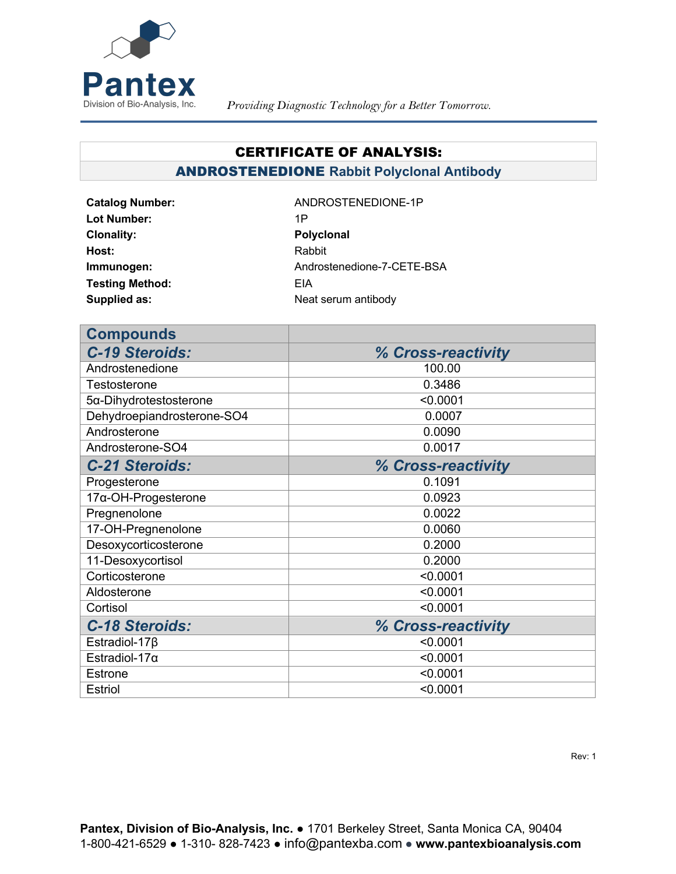

## CERTIFICATE OF ANALYSIS:

ANDROSTENEDIONE **Rabbit Polyclonal Antibody**

Lot Number: 1P **Clonality:** Polyclonal **Polyclonal Host:** Rabbit **Testing Method:** EIA

Catalog Number: ANDROSTENEDIONE-1P **Immunogen:** Androstenedione-7-CETE-BSA **Supplied as:** Neat serum antibody

| <b>Compounds</b>               |                    |
|--------------------------------|--------------------|
| <b>C-19 Steroids:</b>          | % Cross-reactivity |
| Androstenedione                | 100.00             |
| Testosterone                   | 0.3486             |
| $5\alpha$ -Dihydrotestosterone | < 0.0001           |
| Dehydroepiandrosterone-SO4     | 0.0007             |
| Androsterone                   | 0.0090             |
| Androsterone-SO4               | 0.0017             |
| <b>C-21 Steroids:</b>          | % Cross-reactivity |
| Progesterone                   | 0.1091             |
| $17\alpha$ -OH-Progesterone    | 0.0923             |
| Pregnenolone                   | 0.0022             |
| 17-OH-Pregnenolone             | 0.0060             |
| Desoxycorticosterone           | 0.2000             |
| 11-Desoxycortisol              | 0.2000             |
| Corticosterone                 | < 0.0001           |
| Aldosterone                    | < 0.0001           |
| Cortisol                       | < 0.0001           |
| <b>C-18 Steroids:</b>          | % Cross-reactivity |
| Estradiol-17 $\beta$           | < 0.0001           |
| Estradiol-17 $\alpha$          | < 0.0001           |
| <b>Estrone</b>                 | < 0.0001           |
| <b>Estriol</b>                 | < 0.0001           |

Rev: 1